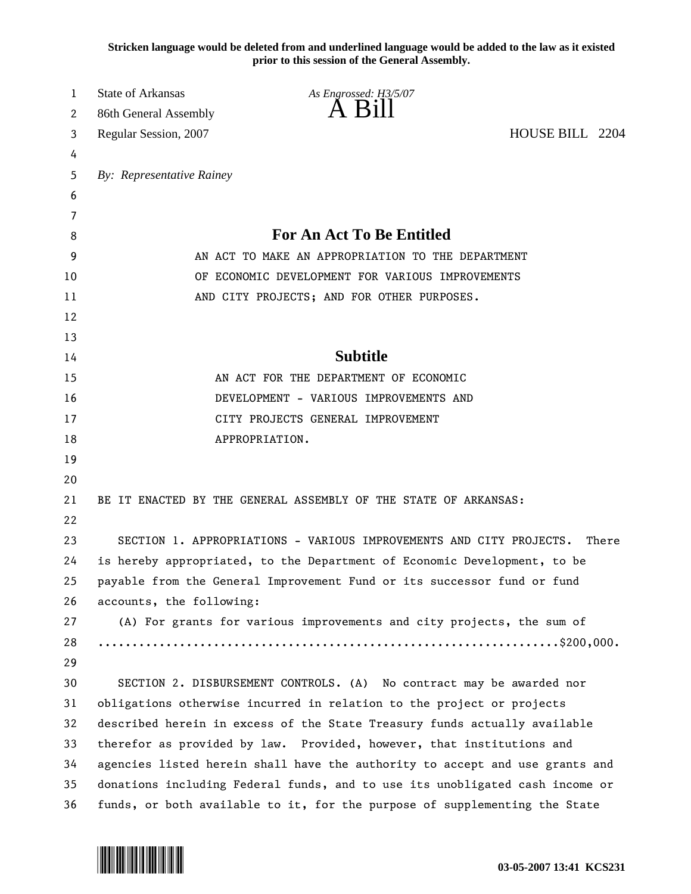**Stricken language would be deleted from and underlined language would be added to the law as it existed prior to this session of the General Assembly.**

| 1  | <b>State of Arkansas</b>                                                  | As Engrossed: H3/5/07                                                        |                 |  |
|----|---------------------------------------------------------------------------|------------------------------------------------------------------------------|-----------------|--|
| 2  | 86th General Assembly                                                     | A B1                                                                         |                 |  |
| 3  | Regular Session, 2007                                                     |                                                                              | HOUSE BILL 2204 |  |
| 4  |                                                                           |                                                                              |                 |  |
| 5  | By: Representative Rainey                                                 |                                                                              |                 |  |
| 6  |                                                                           |                                                                              |                 |  |
| 7  |                                                                           |                                                                              |                 |  |
| 8  |                                                                           | For An Act To Be Entitled                                                    |                 |  |
| 9  | AN ACT TO MAKE AN APPROPRIATION TO THE DEPARTMENT                         |                                                                              |                 |  |
| 10 | OF ECONOMIC DEVELOPMENT FOR VARIOUS IMPROVEMENTS                          |                                                                              |                 |  |
| 11 | AND CITY PROJECTS; AND FOR OTHER PURPOSES.                                |                                                                              |                 |  |
| 12 |                                                                           |                                                                              |                 |  |
| 13 |                                                                           |                                                                              |                 |  |
| 14 |                                                                           | <b>Subtitle</b>                                                              |                 |  |
| 15 |                                                                           | AN ACT FOR THE DEPARTMENT OF ECONOMIC                                        |                 |  |
| 16 | DEVELOPMENT - VARIOUS IMPROVEMENTS AND                                    |                                                                              |                 |  |
| 17 | CITY PROJECTS GENERAL IMPROVEMENT                                         |                                                                              |                 |  |
| 18 |                                                                           | APPROPRIATION.                                                               |                 |  |
| 19 |                                                                           |                                                                              |                 |  |
| 20 |                                                                           |                                                                              |                 |  |
| 21 |                                                                           | BE IT ENACTED BY THE GENERAL ASSEMBLY OF THE STATE OF ARKANSAS:              |                 |  |
| 22 |                                                                           |                                                                              |                 |  |
| 23 |                                                                           | SECTION 1. APPROPRIATIONS - VARIOUS IMPROVEMENTS AND CITY PROJECTS.          | There           |  |
| 24 | is hereby appropriated, to the Department of Economic Development, to be  |                                                                              |                 |  |
| 25 |                                                                           | payable from the General Improvement Fund or its successor fund or fund      |                 |  |
| 26 | accounts, the following:                                                  |                                                                              |                 |  |
| 27 |                                                                           | (A) For grants for various improvements and city projects, the sum of        |                 |  |
| 28 |                                                                           |                                                                              |                 |  |
| 29 |                                                                           |                                                                              |                 |  |
| 30 |                                                                           | SECTION 2. DISBURSEMENT CONTROLS. (A) No contract may be awarded nor         |                 |  |
| 31 |                                                                           | obligations otherwise incurred in relation to the project or projects        |                 |  |
| 32 | described herein in excess of the State Treasury funds actually available |                                                                              |                 |  |
| 33 | therefor as provided by law. Provided, however, that institutions and     |                                                                              |                 |  |
| 34 |                                                                           | agencies listed herein shall have the authority to accept and use grants and |                 |  |
| 35 |                                                                           | donations including Federal funds, and to use its unobligated cash income or |                 |  |
| 36 |                                                                           | funds, or both available to it, for the purpose of supplementing the State   |                 |  |